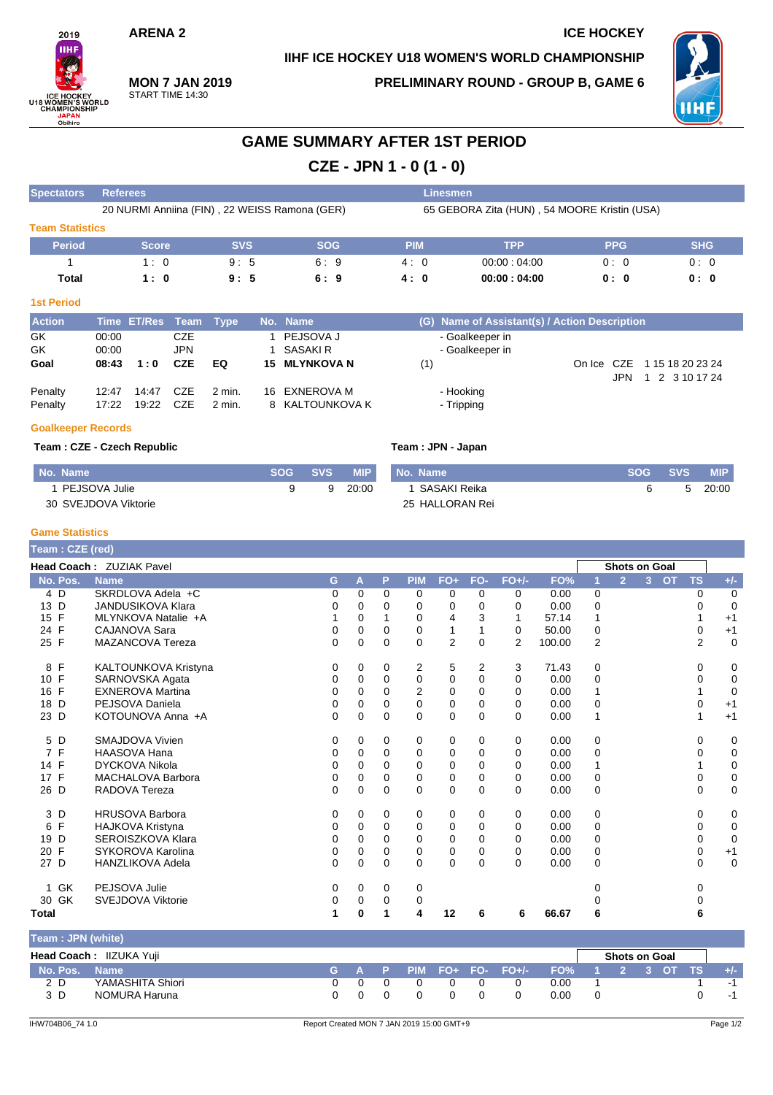### **ARENA 2** ICE HOCKEY

**IIHF ICE HOCKEY U18 WOMEN'S WORLD CHAMPIONSHIP**



#### **MON 7 JAN 2019** START TIME 14:30

**PRELIMINARY ROUND - GROUP B, GAME 6**



## **GAME SUMMARY AFTER 1ST PERIOD**

**CZE - JPN 1 - 0 (1 - 0)**

| <b>Spectators</b>      |       | <b>Referees</b> |            |             |    |                                               |            |     | Linesmen                                     |        |            |                                  |
|------------------------|-------|-----------------|------------|-------------|----|-----------------------------------------------|------------|-----|----------------------------------------------|--------|------------|----------------------------------|
|                        |       |                 |            |             |    | 20 NURMI Anniina (FIN), 22 WEISS Ramona (GER) |            |     | 65 GEBORA Zita (HUN), 54 MOORE Kristin (USA) |        |            |                                  |
| <b>Team Statistics</b> |       |                 |            |             |    |                                               |            |     |                                              |        |            |                                  |
| <b>Period</b>          |       | <b>Score</b>    |            | <b>SVS</b>  |    | <b>SOG</b>                                    | <b>PIM</b> |     | <b>TPP</b>                                   |        | <b>PPG</b> | <b>SHG</b>                       |
|                        |       | 1:0             |            | 9:5         |    | 6:9                                           | 4:0        |     | 00:00:04:00                                  |        | 0:0        | 0:0                              |
| Total                  |       | 1:0             |            | 9:5         |    | 6:9                                           | 4:0        |     | 00:00:04:00                                  |        | 0: 0       | 0: 0                             |
| <b>1st Period</b>      |       |                 |            |             |    |                                               |            |     |                                              |        |            |                                  |
| <b>Action</b>          |       | Time ET/Res     | Team       | <b>Type</b> |    | No. Name                                      |            | (G) | Name of Assistant(s) / Action Description    |        |            |                                  |
| GK                     | 00:00 |                 | <b>CZE</b> |             |    | PEJSOVA J                                     |            |     | - Goalkeeper in                              |        |            |                                  |
| GK                     | 00:00 |                 | <b>JPN</b> |             |    | SASAKI R                                      |            |     | - Goalkeeper in                              |        |            |                                  |
| Goal                   | 08:43 | 1:0             | <b>CZE</b> | EQ          | 15 | <b>MLYNKOVA N</b>                             |            | (1) |                                              | On Ice | CZE<br>JPN | 1 15 18 20 23 24<br>2 3 10 17 24 |
| Penalty                | 12:47 | 14:47           | <b>CZE</b> | $2$ min.    | 16 | <b>EXNEROVA M</b>                             |            |     | - Hooking                                    |        |            |                                  |
| Penalty                | 17:22 | 19:22           | <b>CZE</b> | $2$ min.    |    | 8 KALTOUNKOVA K                               |            |     | - Tripping                                   |        |            |                                  |

#### **Goalkeeper Records**

#### **Team : CZE - Czech Republic Team : JPN - Japan**

| No. Name             | <b>SOG</b> | SVS 4 | <b>MIP</b> | No. Name        | SOG 4 | <b>SVS</b> | <b>MIP</b> |
|----------------------|------------|-------|------------|-----------------|-------|------------|------------|
| PEJSOVA Julie        |            |       | 20:00      | SASAKI Reika    |       |            | 20:00      |
| 30 SVEJDOVA Viktorie |            |       |            | 25 HALLORAN Rei |       |            |            |

#### **Game Statistics**

| Team : CZE (red)    |                          |              |          |          |                |                |                         |          |        |                |                      |                |           |                |             |
|---------------------|--------------------------|--------------|----------|----------|----------------|----------------|-------------------------|----------|--------|----------------|----------------------|----------------|-----------|----------------|-------------|
|                     | Head Coach: ZUZIAK Pavel |              |          |          |                |                |                         |          |        |                | <b>Shots on Goal</b> |                |           |                |             |
| No. Pos.            | <b>Name</b>              | G            | A        | P        | <b>PIM</b>     | $FO+$          | FO-                     | $FO+/-$  | FO%    |                | $\overline{2}$       | 3 <sup>7</sup> | <b>OT</b> | <b>TS</b>      | $+/-$       |
| 4 D                 | SKRDLOVA Adela +C        | 0            | 0        | 0        | 0              | 0              | 0                       | 0        | 0.00   | 0              |                      |                |           | 0              | 0           |
| 13 D                | <b>JANDUSIKOVA Klara</b> | 0            | $\Omega$ | $\Omega$ | 0              | $\Omega$       | $\Omega$                | $\Omega$ | 0.00   | $\mathbf 0$    |                      |                |           | <sup>o</sup>   | $\mathbf 0$ |
| F<br>15             | MLYNKOVA Natalie +A      |              | $\Omega$ |          | $\Omega$       | 4              | 3                       | 1        | 57.14  | 1              |                      |                |           |                | $+1$        |
| 24 F                | <b>CAJANOVA Sara</b>     | 0            | 0        | 0        | 0              | 1              |                         | 0        | 50.00  | 0              |                      |                |           | 0              | $+1$        |
| 25 F                | MAZANCOVA Tereza         | $\mathbf{0}$ | $\Omega$ | $\Omega$ | $\Omega$       | $\overline{2}$ | $\Omega$                | 2        | 100.00 | $\overline{2}$ |                      |                |           | $\overline{2}$ | $\mathbf 0$ |
| 8 F                 | KALTOUNKOVA Kristyna     | 0            | 0        | 0        | 2              | 5              | $\overline{\mathbf{c}}$ | 3        | 71.43  | 0              |                      |                |           | 0              | 0           |
| 10 F                | SARNOVSKA Agata          | 0            | $\Omega$ | $\Omega$ | 0              | 0              | $\Omega$                | $\Omega$ | 0.00   | 0              |                      |                |           | 0              | $\mathbf 0$ |
| 16 F                | <b>EXNEROVA Martina</b>  | 0            | 0        | 0        | $\overline{2}$ | 0              | 0                       | $\Omega$ | 0.00   | 1              |                      |                |           |                | 0           |
| 18 D                | PEJSOVA Daniela          | 0            | $\Omega$ | $\Omega$ | $\Omega$       | 0              | $\Omega$                | $\Omega$ | 0.00   | 0              |                      |                |           | 0              | $+1$        |
| 23 D                | KOTOUNOVA Anna +A        | 0            | 0        | $\Omega$ | $\Omega$       | $\mathbf 0$    | $\Omega$                | $\Omega$ | 0.00   | 1              |                      |                |           |                | $+1$        |
| 5 D                 | SMAJDOVA Vivien          | 0            | 0        | 0        | 0              | 0              | 0                       | $\Omega$ | 0.00   | 0              |                      |                |           | 0              | 0           |
| $\overline{7}$<br>F | <b>HAASOVA Hana</b>      | 0            | $\Omega$ | $\Omega$ | 0              | 0              | $\Omega$                | $\Omega$ | 0.00   | 0              |                      |                |           |                | $\mathbf 0$ |
| 14 F                | <b>DYCKOVA Nikola</b>    | 0            | $\Omega$ | $\Omega$ | 0              | 0              | $\Omega$                | 0        | 0.00   |                |                      |                |           |                | 0           |
| 17 F                | MACHALOVA Barbora        | 0            | 0        | 0        | $\Omega$       | 0              | 0                       | $\Omega$ | 0.00   | 0              |                      |                |           | 0              | $\pmb{0}$   |
| 26 D                | RADOVA Tereza            | 0            | 0        | 0        | $\Omega$       | $\mathbf 0$    | $\Omega$                | $\Omega$ | 0.00   | 0              |                      |                |           | 0              | $\mathbf 0$ |
| 3 D                 | <b>HRUSOVA Barbora</b>   | 0            | 0        | 0        | 0              | 0              | 0                       | 0        | 0.00   | 0              |                      |                |           | 0              | 0           |
| F<br>6              | <b>HAJKOVA Kristyna</b>  | 0            | 0        | $\Omega$ | 0              | 0              | $\Omega$                | 0        | 0.00   | 0              |                      |                |           | 0              | 0           |
| D<br>19             | SEROISZKOVA Klara        | 0            | 0        | 0        | $\Omega$       | 0              | $\Omega$                | $\Omega$ | 0.00   | 0              |                      |                |           | 0              | $\mathbf 0$ |
| 20 F                | SYKOROVA Karolina        | 0            | 0        | 0        | $\Omega$       | 0              | 0                       | $\Omega$ | 0.00   | 0              |                      |                |           | 0              | $+1$        |
| 27 D                | <b>HANZLIKOVA Adela</b>  | 0            | 0        | 0        | 0              | 0              | 0                       | $\Omega$ | 0.00   | 0              |                      |                |           | 0              | $\mathbf 0$ |
| <b>GK</b><br>1.     | PEJSOVA Julie            | 0            | 0        | 0        | 0              |                |                         |          |        | 0              |                      |                |           | 0              |             |
| 30 GK               | <b>SVEJDOVA Viktorie</b> | 0            | 0        | 0        | 0              |                |                         |          |        |                |                      |                |           | 0              |             |
| <b>Total</b>        |                          | 1            | $\bf{0}$ | 1        | 4              | 12             | 6                       | 6        | 66.67  | 6              |                      |                |           | 6              |             |

| Team: JPN (white) |                         |     |  |  |                           |                 |                      |  |       |
|-------------------|-------------------------|-----|--|--|---------------------------|-----------------|----------------------|--|-------|
|                   | Head Coach: IIZUKA Yuji |     |  |  |                           |                 | <b>Shots on Goal</b> |  |       |
| No. Pos. Name     |                         |     |  |  | $G$ A P PIM FO+ FO- FO+/- | FO% 1 2 3 OT TS |                      |  | $+/-$ |
| 2D                | YAMASHITA Shiori        | n n |  |  |                           | 0.00            |                      |  | -1    |
| 3 D               | NOMURA Haruna           | 0 O |  |  |                           | 0.00            |                      |  |       |